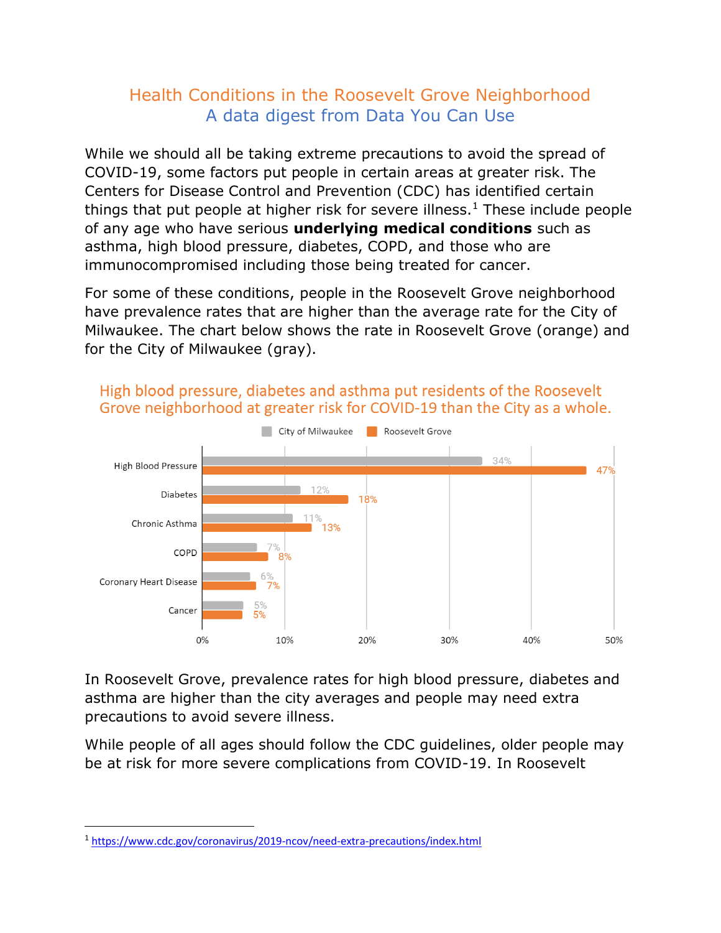## Health Conditions in the Roosevelt Grove Neighborhood A data digest from Data You Can Use

While we should all be taking extreme precautions to avoid the spread of COVID-19, some factors put people in certain areas at greater risk. The Centers for Disease Control and Prevention (CDC) has identified certain things that put people at higher risk for severe illness.<sup>1</sup> These include people of any age who have serious **underlying medical conditions** such as asthma, high blood pressure, diabetes, COPD, and those who are immunocompromised including those being treated for cancer.

For some of these conditions, people in the Roosevelt Grove neighborhood have prevalence rates that are higher than the average rate for the City of Milwaukee. The chart below shows the rate in Roosevelt Grove (orange) and for the City of Milwaukee (gray).



High blood pressure, diabetes and asthma put residents of the Roosevelt Grove neighborhood at greater risk for COVID-19 than the City as a whole.

In Roosevelt Grove, prevalence rates for high blood pressure, diabetes and asthma are higher than the city averages and people may need extra precautions to avoid severe illness.

While people of all ages should follow the CDC guidelines, older people may be at risk for more severe complications from COVID-19. In Roosevelt

<sup>1</sup> <https://www.cdc.gov/coronavirus/2019-ncov/need-extra-precautions/index.html>